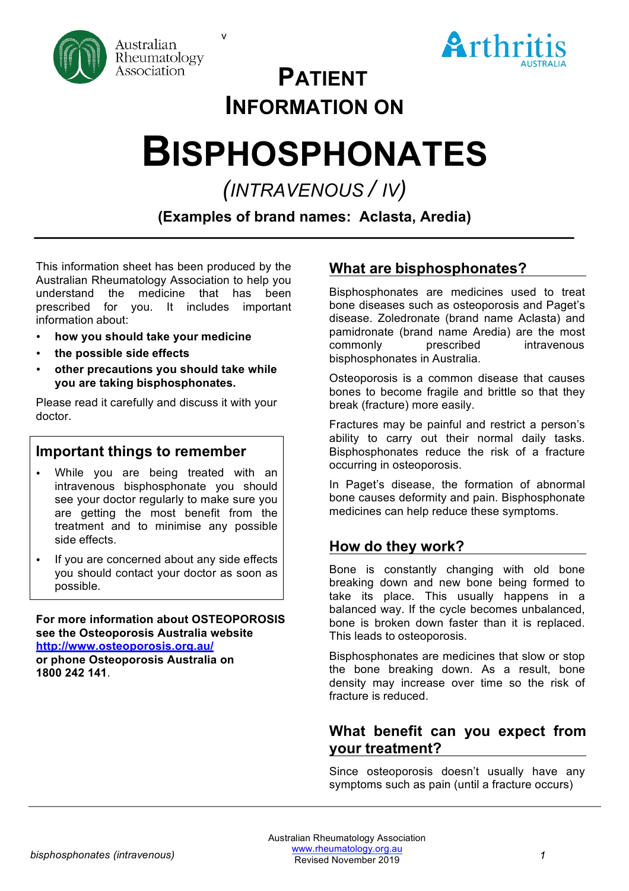

v



# **PATIENT INFORMATION ON**

# **BISPHOSPHONATES**

*(INTRAVENOUS / IV)*

**(Examples of brand names: Aclasta, Aredia)**

This information sheet has been produced by the Australian Rheumatology Association to help you understand the medicine that has been prescribed for you. It includes important information about:

- **how you should take your medicine**
- **the possible side effects**
- **other precautions you should take while you are taking bisphosphonates.**

Please read it carefully and discuss it with your doctor.

# **Important things to remember**

- While you are being treated with an intravenous bisphosphonate you should see your doctor regularly to make sure you are getting the most benefit from the treatment and to minimise any possible side effects.
- If you are concerned about any side effects you should contact your doctor as soon as possible.

**For more information about OSTEOPOROSIS see the Osteoporosis Australia website http://www.osteoporosis.org.au/ or phone Osteoporosis Australia on 1800 242 141**.

# **What are bisphosphonates?**

Bisphosphonates are medicines used to treat bone diseases such as osteoporosis and Paget's disease. Zoledronate (brand name Aclasta) and pamidronate (brand name Aredia) are the most commonly prescribed intravenous bisphosphonates in Australia.

Osteoporosis is a common disease that causes bones to become fragile and brittle so that they break (fracture) more easily.

Fractures may be painful and restrict a person's ability to carry out their normal daily tasks. Bisphosphonates reduce the risk of a fracture occurring in osteoporosis.

In Paget's disease, the formation of abnormal bone causes deformity and pain. Bisphosphonate medicines can help reduce these symptoms.

# **How do they work?**

Bone is constantly changing with old bone breaking down and new bone being formed to take its place. This usually happens in a balanced way. If the cycle becomes unbalanced, bone is broken down faster than it is replaced. This leads to osteoporosis.

Bisphosphonates are medicines that slow or stop the bone breaking down. As a result, bone density may increase over time so the risk of fracture is reduced.

# **What benefit can you expect from your treatment?**

Since osteoporosis doesn't usually have any symptoms such as pain (until a fracture occurs)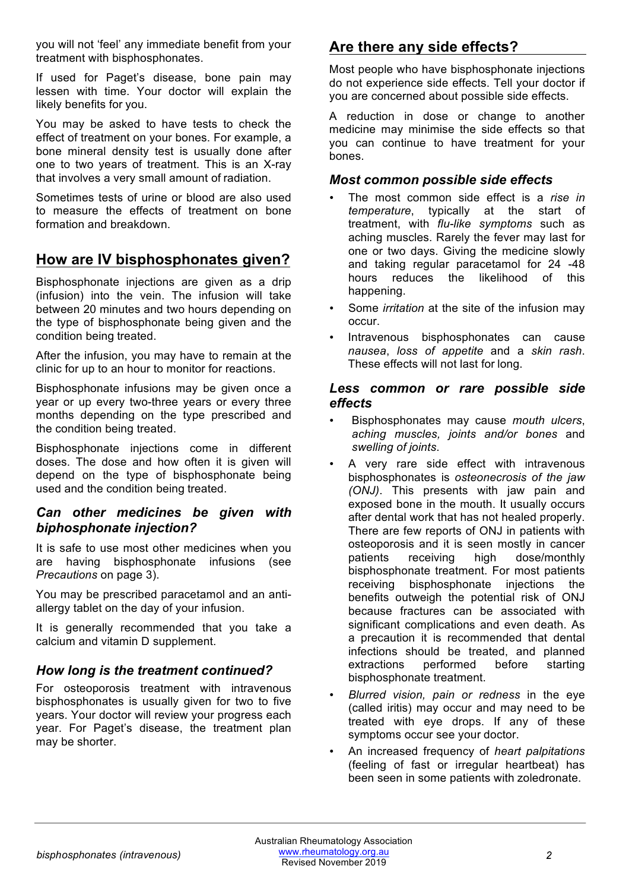you will not 'feel' any immediate benefit from your treatment with bisphosphonates.

If used for Paget's disease, bone pain may lessen with time. Your doctor will explain the likely benefits for you.

You may be asked to have tests to check the effect of treatment on your bones. For example, a bone mineral density test is usually done after one to two years of treatment. This is an X-ray that involves a very small amount of radiation.

Sometimes tests of urine or blood are also used to measure the effects of treatment on bone formation and breakdown.

# **How are IV bisphosphonates given?**

Bisphosphonate injections are given as a drip (infusion) into the vein. The infusion will take between 20 minutes and two hours depending on the type of bisphosphonate being given and the condition being treated.

After the infusion, you may have to remain at the clinic for up to an hour to monitor for reactions.

Bisphosphonate infusions may be given once a year or up every two-three years or every three months depending on the type prescribed and the condition being treated.

Bisphosphonate injections come in different doses. The dose and how often it is given will depend on the type of bisphosphonate being used and the condition being treated.

### *Can other medicines be given with biphosphonate injection?*

It is safe to use most other medicines when you are having bisphosphonate infusions (see *Precautions* on page 3).

You may be prescribed paracetamol and an antiallergy tablet on the day of your infusion.

It is generally recommended that you take a calcium and vitamin D supplement.

## *How long is the treatment continued?*

For osteoporosis treatment with intravenous bisphosphonates is usually given for two to five years. Your doctor will review your progress each year. For Paget's disease, the treatment plan may be shorter.

# **Are there any side effects?**

Most people who have bisphosphonate injections do not experience side effects. Tell your doctor if you are concerned about possible side effects.

A reduction in dose or change to another medicine may minimise the side effects so that you can continue to have treatment for your bones.

#### *Most common possible side effects*

- The most common side effect is a *rise in temperature*, typically at the start of treatment, with *flu-like symptoms* such as aching muscles. Rarely the fever may last for one or two days. Giving the medicine slowly and taking regular paracetamol for 24 -48 hours reduces the likelihood of this happening.
- Some *irritation* at the site of the infusion may occur.
- Intravenous bisphosphonates can cause *nausea*, *loss of appetite* and a *skin rash*. These effects will not last for long.

#### *Less common or rare possible side effects*

- Bisphosphonates may cause *mouth ulcers*, *aching muscles, joints and/or bones* and *swelling of joints*.
- A very rare side effect with intravenous bisphosphonates is *osteonecrosis of the jaw (ONJ)*. This presents with jaw pain and exposed bone in the mouth. It usually occurs after dental work that has not healed properly. There are few reports of ONJ in patients with osteoporosis and it is seen mostly in cancer patients receiving high dose/monthly bisphosphonate treatment. For most patients receiving bisphosphonate injections the benefits outweigh the potential risk of ONJ because fractures can be associated with significant complications and even death. As a precaution it is recommended that dental infections should be treated, and planned extractions performed before starting bisphosphonate treatment.
- *Blurred vision, pain or redness* in the eye (called iritis) may occur and may need to be treated with eye drops. If any of these symptoms occur see your doctor.
- An increased frequency of *heart palpitations*  (feeling of fast or irregular heartbeat) has been seen in some patients with zoledronate.